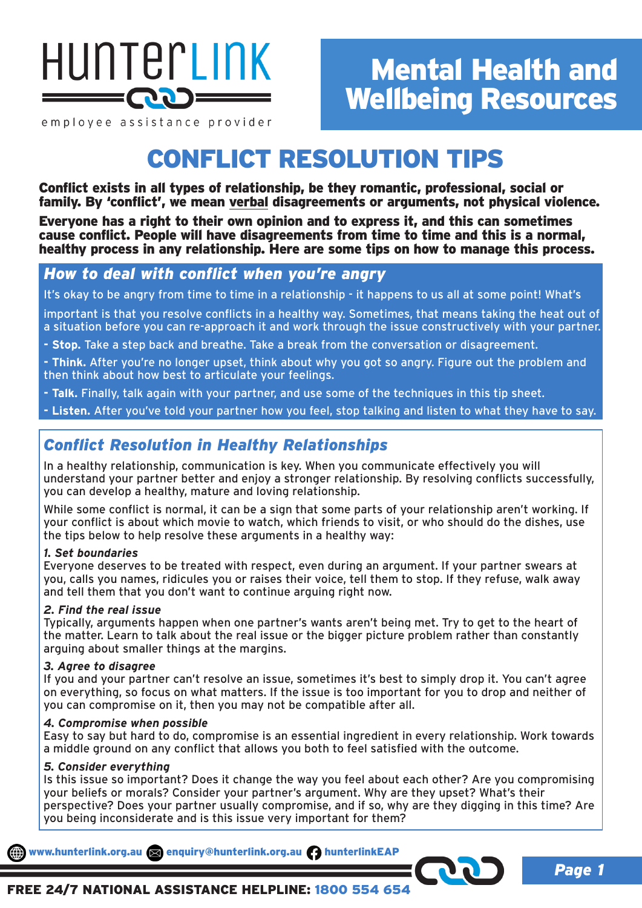

employee assistance provider

# CONFLICT RESOLUTION TIPS

Conflict exists in all types of relationship, be they romantic, professional, social or family. By 'conflict', we mean verbal disagreements or arguments, not physical violence.

Everyone has a right to their own opinion and to express it, and this can sometimes cause conflict. People will have disagreements from time to time and this is a normal, healthy process in any relationship. Here are some tips on how to manage this process.

# *How to deal with conflict when you're angry*

It's okay to be angry from time to time in a relationship - it happens to us all at some point! What's

important is that you resolve conflicts in a healthy way. Sometimes, that means taking the heat out of a situation before you can re-approach it and work through the issue constructively with your partner.

**- Stop.** Take a step back and breathe. Take a break from the conversation or disagreement.

**- Think.** After you're no longer upset, think about why you got so angry. Figure out the problem and then think about how best to articulate your feelings.

**- Talk.** Finally, talk again with your partner, and use some of the techniques in this tip sheet.

**- Listen.** After you've told your partner how you feel, stop talking and listen to what they have to say.

# *Conflict Resolution in Healthy Relationships*

In a healthy relationship, communication is key. When you communicate effectively you will understand your partner better and enjoy a stronger relationship. By resolving conflicts successfully, you can develop a healthy, mature and loving relationship.

While some conflict is normal, it can be a sign that some parts of your relationship aren't working. If your conflict is about which movie to watch, which friends to visit, or who should do the dishes, use the tips below to help resolve these arguments in a healthy way:

# *1. Set boundaries*

Everyone deserves to be treated with respect, even during an argument. If your partner swears at you, calls you names, ridicules you or raises their voice, tell them to stop. If they refuse, walk away and tell them that you don't want to continue arguing right now.

# *2. Find the real issue*

Typically, arguments happen when one partner's wants aren't being met. Try to get to the heart of the matter. Learn to talk about the real issue or the bigger picture problem rather than constantly arguing about smaller things at the margins.

# *3. Agree to disagree*

If you and your partner can't resolve an issue, sometimes it's best to simply drop it. You can't agree on everything, so focus on what matters. If the issue is too important for you to drop and neither of you can compromise on it, then you may not be compatible after all.

#### *4. Compromise when possible*

Easy to say but hard to do, compromise is an essential ingredient in every relationship. Work towards a middle ground on any conflict that allows you both to feel satisfied with the outcome.

#### *5. Consider everything*

Is this issue so important? Does it change the way you feel about each other? Are you compromising your beliefs or morals? Consider your partner's argument. Why are they upset? What's their perspective? Does your partner usually compromise, and if so, why are they digging in this time? Are you being inconsiderate and is this issue very important for them?

www.hunterlink.org.au and enquiry@hunterlink.org.au hunterlinkEAP